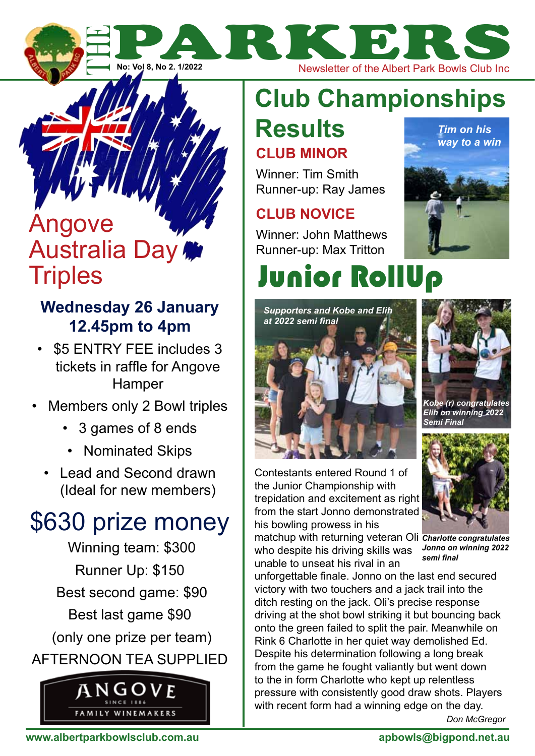

**Parkers The Albert Park Bowls Club Inc.** 

## **Club Championships Results** *Tim on his*

## **Club Minor**

Winner: Tim Smith Runner-up: Ray James

## **Club Novice**

Winner: John Matthews Runner-up: Max Tritton



# Junior RollUp





*Kobe (r) congratulates Elih on winning 2022 Semi Final*

Contestants entered Round 1 of the Junior Championship with trepidation and excitement as right from the start Jonno demonstrated his bowling prowess in his

matchup with returning veteran Oli *Charlotte congratulates*  who despite his driving skills was unable to unseat his rival in an



*Jonno on winning 2022 semi final*

unforgettable finale. Jonno on the last end secured victory with two touchers and a jack trail into the ditch resting on the jack. Oli's precise response driving at the shot bowl striking it but bouncing back onto the green failed to split the pair. Meanwhile on Rink 6 Charlotte in her quiet way demolished Ed. Despite his determination following a long break from the game he fought valiantly but went down to the in form Charlotte who kept up relentless pressure with consistently good draw shots. Players with recent form had a winning edge on the day.

*Don McGregor*

## Angove Australia Day **Triples**

## **Wednesday 26 January 12.45pm to 4pm**

- \$5 ENTRY FEE includes 3 tickets in raffle for Angove **Hamper**
- Members only 2 Bowl triples
	- 3 games of 8 ends
	- Nominated Skips
	- Lead and Second drawn (Ideal for new members)

## \$630 prize money

 Winning team: \$300 Runner Up: \$150 Best second game: \$90 Best last game \$90 (only one prize per team) afternoon tea supplied

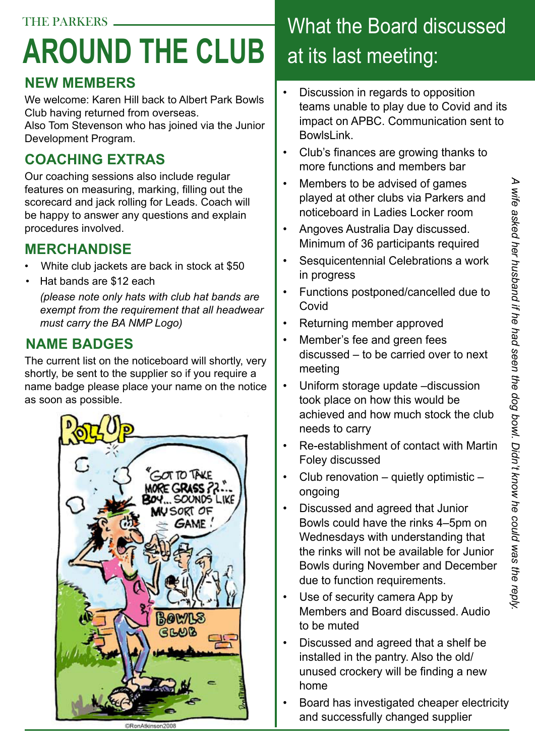# **around the club**

## **New Members**

We welcome: Karen Hill back to Albert Park Bowls Club having returned from overseas.

Also Tom Stevenson who has joined via the Junior Development Program.

## **coaching extras**

Our coaching sessions also include regular features on measuring, marking, filling out the scorecard and jack rolling for Leads. Coach will be happy to answer any questions and explain procedures involved.

### **MERCHANDISE**

- White club jackets are back in stock at \$50
- Hat bands are \$12 each

*(please note only hats with club hat bands are exempt from the requirement that all headwear must carry the BA NMP Logo)*

## **name badges**

The current list on the noticeboard will shortly, very shortly, be sent to the supplier so if you require a name badge please place your name on the notice as soon as possible.



## What the Board discussed at its last meeting:

- Discussion in regards to opposition teams unable to play due to Covid and its impact on APBC. Communication sent to BowlsLink.
- Club's finances are growing thanks to more functions and members bar
- Members to be advised of games played at other clubs via Parkers and noticeboard in Ladies Locker room
- Angoves Australia Day discussed. Minimum of 36 participants required
- Sesquicentennial Celebrations a work in progress
- Functions postponed/cancelled due to **Covid**
- Returning member approved
- Member's fee and green fees discussed – to be carried over to next meeting
- Uniform storage update –discussion took place on how this would be achieved and how much stock the club needs to carry
- Re-establishment of contact with Martin Foley discussed
- Club renovation quietly optimistic ongoing
- Discussed and agreed that Junior Bowls could have the rinks 4–5pm on Wednesdays with understanding that the rinks will not be available for Junior Bowls during November and December due to function requirements.
- Use of security camera App by Members and Board discussed. Audio to be muted
- Discussed and agreed that a shelf be installed in the pantry. Also the old/ unused crockery will be finding a new home
- Board has investigated cheaper electricity and successfully changed supplier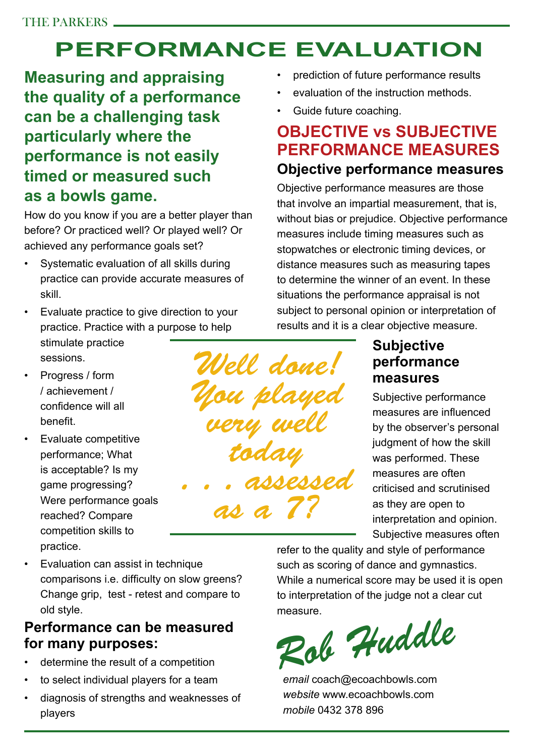## **performance evaluation**

*You played* 

*very well* 

*today* 

*as a 7?*

*. . . assessed* 

**Measuring and appraising the quality of a performance can be a challenging task particularly where the performance is not easily timed or measured such as a bowls game.**

How do you know if you are a better player than before? Or practiced well? Or played well? Or achieved any performance goals set?

- Systematic evaluation of all skills during practice can provide accurate measures of skill.
- Evaluate practice to give direction to your practice. Practice with a purpose to help stimulate practice sessions. *Well done!*
- Progress / form / achievement / confidence will all benefit.
- Evaluate competitive performance; What is acceptable? Is my game progressing? Were performance goals reached? Compare competition skills to practice.
- Evaluation can assist in technique comparisons i.e. difficulty on slow greens? Change grip, test - retest and compare to old style.

#### **Performance can be measured for many purposes:**

- determine the result of a competition
- to select individual players for a team
- diagnosis of strengths and weaknesses of players
- prediction of future performance results
- evaluation of the instruction methods.
- Guide future coaching.

## **Objective vs Subjective performance measures**

## **Objective performance measures**

Objective performance measures are those that involve an impartial measurement, that is, without bias or prejudice. Objective performance measures include timing measures such as stopwatches or electronic timing devices, or distance measures such as measuring tapes to determine the winner of an event. In these situations the performance appraisal is not subject to personal opinion or interpretation of results and it is a clear objective measure.

### **Subjective performance measures**

Subjective performance measures are influenced by the observer's personal judgment of how the skill was performed. These measures are often criticised and scrutinised as they are open to interpretation and opinion. Subjective measures often

refer to the quality and style of performance such as scoring of dance and gymnastics. While a numerical score may be used it is open to interpretation of the judge not a clear cut measure.

*Rob Huddle*

*email* coach@ecoachbowls.com *website* www.ecoachbowls.com *mobile* 0432 378 896